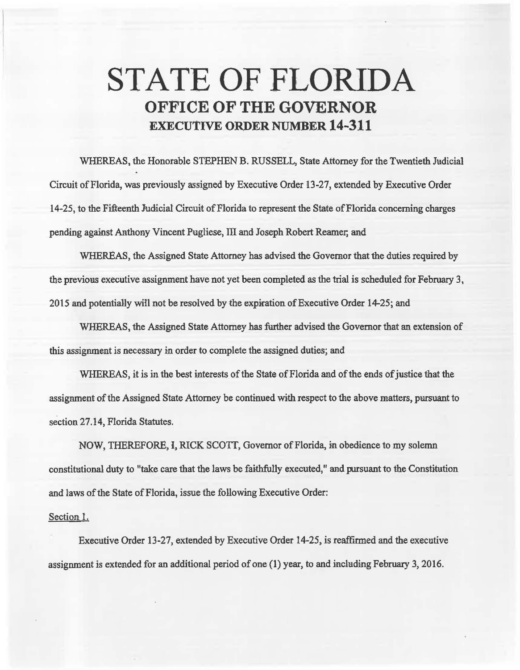## STATE OF FLORIDA OFFICE OF THE GOVERNOR EXECUTIVE ORDER NUMBER 14-311

WHEREAS, the Honorable STEPHEN B. RUSSELL, State Attorney for the Twentieth Judicial Circuit of Florida, was previously assigned by Executive Order 13-27, extended by Executive Order 14-25, to the Fifteenth Judicial Circuit of Florida to represent the State of Florida concerning charges pending against Anthony Vincent Pugliese, 111 and Joseph Robert Reamer, and

WHEREAS, the Assigned State Attorney has advised the Governor that the duties required by the previous executive assignment have not yet been completed as the trial is scheduled for February 3, 2015 and potentially will not be resolved by the expiration of Executive Order 14-25; and

WHEREAS, the Assigned State Attorney has further advised the Governor that an extension of this assignment is necessary in order to complete the assigned duties; and

WHEREAS, it is in the best interests of the State of Florida and of the ends of justice that the assignment of the Assigned State Attorney be continued with respect to the above matters, pursuant to section 27.14, Florida Statutes.

NOW, THEREFORE, I, RICK SCOTI, Governor of Florida, in obedience to my solemn constitational duty to "take care that the laws be faithfully executed," and pursuant to the Constitation and laws of the State of Florida, issue the following Executive Order:

## Section l.

Executive Order 13-27, extended by Executive Order 14-25, is reaffirmed and the execntive assignment is extended for an additional period of one (1) year, to and including February 3, 2016.